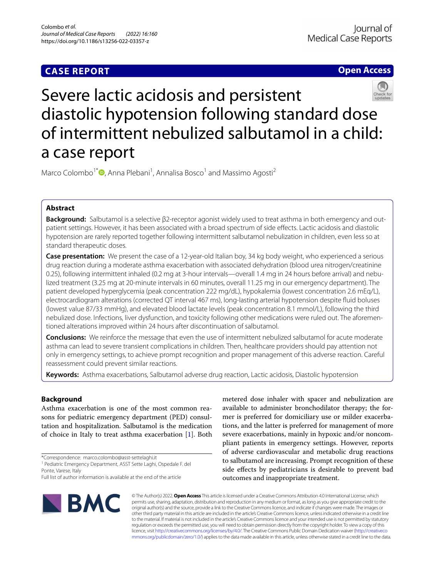## **CASE REPORT**

**Open Access**



# Severe lactic acidosis and persistent diastolic hypotension following standard dose of intermittent nebulized salbutamol in a child: a case report

Marco Colombo<sup>1[\\*](http://orcid.org/0000-0003-4947-519X)</sup><sup>®</sup>, Anna Plebani<sup>1</sup>, Annalisa Bosco<sup>1</sup> and Massimo Agosti<sup>2</sup>

## **Abstract**

**Background:** Salbutamol is a selective β2-receptor agonist widely used to treat asthma in both emergency and outpatient settings. However, it has been associated with a broad spectrum of side efects. Lactic acidosis and diastolic hypotension are rarely reported together following intermittent salbutamol nebulization in children, even less so at standard therapeutic doses.

**Case presentation:** We present the case of a 12-year-old Italian boy, 34 kg body weight, who experienced a serious drug reaction during a moderate asthma exacerbation with associated dehydration (blood urea nitrogen/creatinine 0.25), following intermittent inhaled (0.2 mg at 3-hour intervals—overall 1.4 mg in 24 hours before arrival) and nebulized treatment (3.25 mg at 20-minute intervals in 60 minutes, overall 11.25 mg in our emergency department). The patient developed hyperglycemia (peak concentration 222 mg/dL), hypokalemia (lowest concentration 2.6 mEq/L), electrocardiogram alterations (corrected QT interval 467 ms), long-lasting arterial hypotension despite fuid boluses (lowest value 87/33 mmHg), and elevated blood lactate levels (peak concentration 8.1 mmol/L), following the third nebulized dose. Infections, liver dysfunction, and toxicity following other medications were ruled out. The aforementioned alterations improved within 24 hours after discontinuation of salbutamol.

**Conclusions:** We reinforce the message that even the use of intermittent nebulized salbutamol for acute moderate asthma can lead to severe transient complications in children. Then, healthcare providers should pay attention not only in emergency settings, to achieve prompt recognition and proper management of this adverse reaction. Careful reassessment could prevent similar reactions.

**Keywords:** Asthma exacerbations, Salbutamol adverse drug reaction, Lactic acidosis, Diastolic hypotension

## **Background**

Asthma exacerbation is one of the most common reasons for pediatric emergency department (PED) consultation and hospitalization. Salbutamol is the medication of choice in Italy to treat asthma exacerbation [[1\]](#page-4-0). Both

\*Correspondence: marco.colombo@asst-settelaghi.it

<sup>1</sup> Pediatric Emergency Department, ASST Sette Laghi, Ospedale F. del Ponte, Varese, Italy

metered dose inhaler with spacer and nebulization are available to administer bronchodilator therapy; the former is preferred for domiciliary use or milder exacerbations, and the latter is preferred for management of more severe exacerbations, mainly in hypoxic and/or noncompliant patients in emergency settings. However, reports of adverse cardiovascular and metabolic drug reactions to salbutamol are increasing. Prompt recognition of these side efects by pediatricians is desirable to prevent bad outcomes and inappropriate treatment.



© The Author(s) 2022. **Open Access** This article is licensed under a Creative Commons Attribution 4.0 International License, which permits use, sharing, adaptation, distribution and reproduction in any medium or format, as long as you give appropriate credit to the original author(s) and the source, provide a link to the Creative Commons licence, and indicate if changes were made. The images or other third party material in this article are included in the article's Creative Commons licence, unless indicated otherwise in a credit line to the material. If material is not included in the article's Creative Commons licence and your intended use is not permitted by statutory regulation or exceeds the permitted use, you will need to obtain permission directly from the copyright holder. To view a copy of this licence, visit [http://creativecommons.org/licenses/by/4.0/.](http://creativecommons.org/licenses/by/4.0/) The Creative Commons Public Domain Dedication waiver ([http://creativeco](http://creativecommons.org/publicdomain/zero/1.0/) [mmons.org/publicdomain/zero/1.0/](http://creativecommons.org/publicdomain/zero/1.0/)) applies to the data made available in this article, unless otherwise stated in a credit line to the data.

Full list of author information is available at the end of the article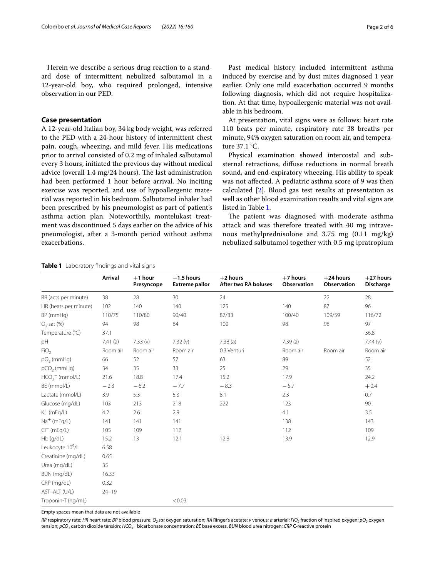Herein we describe a serious drug reaction to a standard dose of intermittent nebulized salbutamol in a 12-year-old boy, who required prolonged, intensive observation in our PED.

## **Case presentation**

A 12-year-old Italian boy, 34 kg body weight, was referred to the PED with a 24-hour history of intermittent chest pain, cough, wheezing, and mild fever. His medications prior to arrival consisted of 0.2 mg of inhaled salbutamol every 3 hours, initiated the previous day without medical advice (overall  $1.4 \text{ mg}/24$  hours). The last administration had been performed 1 hour before arrival. No inciting exercise was reported, and use of hypoallergenic material was reported in his bedroom. Salbutamol inhaler had been prescribed by his pneumologist as part of patient's asthma action plan. Noteworthily, montelukast treatment was discontinued 5 days earlier on the advice of his pneumologist, after a 3-month period without asthma exacerbations.

Past medical history included intermittent asthma induced by exercise and by dust mites diagnosed 1 year earlier. Only one mild exacerbation occurred 9 months following diagnosis, which did not require hospitalization. At that time, hypoallergenic material was not available in his bedroom.

At presentation, vital signs were as follows: heart rate 110 beats per minute, respiratory rate 38 breaths per minute, 94% oxygen saturation on room air, and temperature 37.1 °C.

Physical examination showed intercostal and substernal retractions, difuse reductions in normal breath sound, and end-expiratory wheezing. His ability to speak was not afected. A pediatric asthma score of 9 was then calculated [\[2](#page-4-1)]. Blood gas test results at presentation as well as other blood examination results and vital signs are listed in Table [1.](#page-1-0)

The patient was diagnosed with moderate asthma attack and was therefore treated with 40 mg intravenous methylprednisolone and 3.75 mg (0.11 mg/kg) nebulized salbutamol together with 0.5 mg ipratropium

|                              | <b>Arrival</b> | $+1$ hour<br>Presyncope | $+1.5$ hours<br><b>Extreme pallor</b> | $+2$ hours<br>After two RA boluses | $+7$ hours<br>Observation | $+24$ hours<br>Observation | $+27$ hours<br><b>Discharge</b> |
|------------------------------|----------------|-------------------------|---------------------------------------|------------------------------------|---------------------------|----------------------------|---------------------------------|
| RR (acts per minute)         | 38             | 28                      | 30                                    | 24                                 |                           | 22                         | 28                              |
| HR (beats per minute)        | 102            | 140                     | 140                                   | 125                                | 140                       | 87                         | 96                              |
| BP (mmHg)                    | 110/75         | 110/80                  | 90/40                                 | 87/33                              | 100/40                    | 109/59                     | 116/72                          |
| $O2$ sat $(\%)$              | 94             | 98                      | 84                                    | 100                                | 98                        | 98                         | 97                              |
| Temperature (°C)             | 37.1           |                         |                                       |                                    |                           |                            | 36.8                            |
| рH                           | $7.41$ (a)     | 7.33(v)                 | 7.32(v)                               | 7.38(a)                            | 7.39(a)                   |                            | 7.44(v)                         |
| FiO <sub>2</sub>             | Room air       | Room air                | Room air                              | 0.3 Venturi                        | Room air                  | Room air                   | Room air                        |
| $pO2$ (mmHg)                 | 66             | 52                      | 57                                    | 63                                 | 89                        |                            | 52                              |
| pCO <sub>2</sub> (mmHg)      | 34             | 35                      | 33                                    | 25                                 | 29                        |                            | 35                              |
| $HCO3$ (mmol/L)              | 21.6           | 18.8                    | 17.4                                  | 15.2                               | 17.9                      |                            | 24.2                            |
| BE (mmol/L)                  | $-2.3$         | $-6.2$                  | $-7.7$                                | $-8.3$                             | $-5.7$                    |                            | $+0.4$                          |
| Lactate (mmol/L)             | 3.9            | 5.3                     | 5.3                                   | 8.1                                | 2.3                       |                            | 0.7                             |
| Glucose (mg/dL)              | 103            | 213                     | 218                                   | 222                                | 123                       |                            | 90                              |
| K <sup>+</sup> (mEq/L)       | 4.2            | 2.6                     | 2.9                                   |                                    | 4.1                       |                            | 3.5                             |
| Na <sup>+</sup> (mEq/L)      | 141            | 141                     | 141                                   |                                    | 138                       |                            | 143                             |
| $Cl^{-}$ (mEg/L)             | 105            | 109                     | 112                                   |                                    | 112                       |                            | 109                             |
| Hb (g/dL)                    | 15.2           | 13                      | 12.1                                  | 12.8                               | 13.9                      |                            | 12.9                            |
| Leukocyte 10 <sup>9</sup> /L | 6.58           |                         |                                       |                                    |                           |                            |                                 |
| Creatinine (mg/dL)           | 0.65           |                         |                                       |                                    |                           |                            |                                 |
| Urea (mg/dL)                 | 35             |                         |                                       |                                    |                           |                            |                                 |
| BUN (mg/dL)                  | 16.33          |                         |                                       |                                    |                           |                            |                                 |
| CRP (mg/dL)                  | 0.32           |                         |                                       |                                    |                           |                            |                                 |
| AST-ALT (U/L)                | $24 - 19$      |                         |                                       |                                    |                           |                            |                                 |

## <span id="page-1-0"></span>**Table 1** Laboratory fndings and vital signs

Empty spaces mean that data are not available

Troponin-T (ng/mL) <0.03

RR respiratory rate; HR heart rate; BP blood pressure; O<sub>2</sub> sat oxygen saturation; RA Ringer's acetate; v venous; a arterial; FiO<sub>2</sub> fraction of inspired oxygen; pO<sub>2</sub> oxygen tension; *pCO<sub>2</sub>* carbon dioxide tension; *HCO<sub>3</sub>* ⊤bicarbonate concentration; *BE* base excess, *BUN* blood urea nitrogen; *CRP* C-reactive protein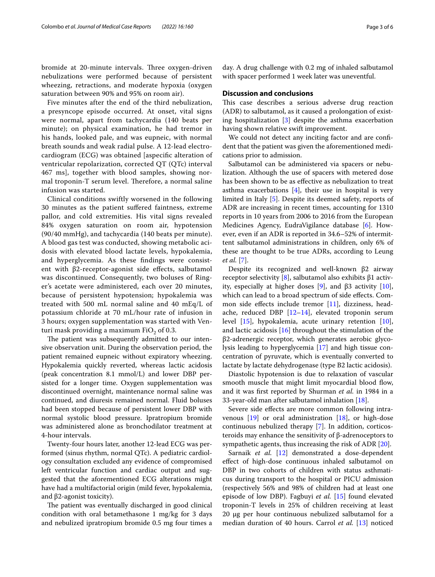bromide at 20-minute intervals. Three oxygen-driven nebulizations were performed because of persistent wheezing, retractions, and moderate hypoxia (oxygen saturation between 90% and 95% on room air).

Five minutes after the end of the third nebulization, a presyncope episode occurred. At onset, vital signs were normal, apart from tachycardia (140 beats per minute); on physical examination, he had tremor in his hands, looked pale, and was eupneic, with normal breath sounds and weak radial pulse. A 12-lead electrocardiogram (ECG) was obtained [aspecifc alteration of ventricular repolarization, corrected QT (QTc) interval 467 ms], together with blood samples, showing normal troponin-T serum level. Therefore, a normal saline infusion was started.

Clinical conditions swiftly worsened in the following 30 minutes as the patient sufered faintness, extreme pallor, and cold extremities. His vital signs revealed 84% oxygen saturation on room air, hypotension (90/40 mmHg), and tachycardia (140 beats per minute). A blood gas test was conducted, showing metabolic acidosis with elevated blood lactate levels, hypokalemia, and hyperglycemia. As these fndings were consistent with β2-receptor-agonist side efects, salbutamol was discontinued. Consequently, two boluses of Ringer's acetate were administered, each over 20 minutes, because of persistent hypotension; hypokalemia was treated with 500 mL normal saline and 40 mEq/L of potassium chloride at 70 mL/hour rate of infusion in 3 hours; oxygen supplementation was started with Venturi mask providing a maximum  $FiO<sub>2</sub>$  of 0.3.

The patient was subsequently admitted to our intensive observation unit. During the observation period, the patient remained eupneic without expiratory wheezing. Hypokalemia quickly reverted, whereas lactic acidosis (peak concentration 8.1 mmol/L) and lower DBP persisted for a longer time. Oxygen supplementation was discontinued overnight, maintenance normal saline was continued, and diuresis remained normal. Fluid boluses had been stopped because of persistent lower DBP with normal systolic blood pressure. Ipratropium bromide was administered alone as bronchodilator treatment at 4-hour intervals.

Twenty-four hours later, another 12-lead ECG was performed (sinus rhythm, normal QTc). A pediatric cardiology consultation excluded any evidence of compromised left ventricular function and cardiac output and suggested that the aforementioned ECG alterations might have had a multifactorial origin (mild fever, hypokalemia, and β2-agonist toxicity).

The patient was eventually discharged in good clinical condition with oral betamethasone 1 mg/kg for 3 days and nebulized ipratropium bromide 0.5 mg four times a day. A drug challenge with 0.2 mg of inhaled salbutamol with spacer performed 1 week later was uneventful.

#### **Discussion and conclusions**

This case describes a serious adverse drug reaction (ADR) to salbutamol, as it caused a prolongation of existing hospitalization [[3\]](#page-4-2) despite the asthma exacerbation having shown relative swift improvement.

We could not detect any inciting factor and are confdent that the patient was given the aforementioned medications prior to admission.

Salbutamol can be administered via spacers or nebulization. Although the use of spacers with metered dose has been shown to be as efective as nebulization to treat asthma exacerbations [[4\]](#page-4-3), their use in hospital is very limited in Italy [[5\]](#page-4-4). Despite its deemed safety, reports of ADR are increasing in recent times, accounting for 1310 reports in 10 years from 2006 to 2016 from the European Medicines Agency, EudraVigilance database [[6\]](#page-4-5). However, even if an ADR is reported in 34.6–52% of intermittent salbutamol administrations in children, only 6% of these are thought to be true ADRs, according to Leung *et al.* [\[7\]](#page-4-6).

Despite its recognized and well-known β2 airway receptor selectivity [[8](#page-4-7)], salbutamol also exhibits  $β1$  activ-ity, especially at higher doses [[9](#page-4-8)], and β3 activity [\[10](#page-4-9)], which can lead to a broad spectrum of side effects. Common side efects include tremor [\[11\]](#page-4-10), dizziness, headache, reduced DBP [\[12](#page-4-11)[–14\]](#page-4-12), elevated troponin serum level [\[15](#page-4-13)], hypokalemia, acute urinary retention [\[10](#page-4-9)], and lactic acidosis [\[16\]](#page-4-14) throughout the stimulation of the β2-adrenergic receptor, which generates aerobic glycolysis leading to hyperglycemia [\[17](#page-4-15)] and high tissue concentration of pyruvate, which is eventually converted to lactate by lactate dehydrogenase (type B2 lactic acidosis).

Diastolic hypotension is due to relaxation of vascular smooth muscle that might limit myocardial blood flow, and it was frst reported by Shurman *et al.* in 1984 in a 33-year-old man after salbutamol inhalation [\[18\]](#page-4-16).

Severe side efects are more common following intravenous [[19\]](#page-4-17) or oral administration [[18](#page-4-16)], or high-dose continuous nebulized therapy [[7\]](#page-4-6). In addition, corticosteroids may enhance the sensitivity of β-adrenoceptors to sympathetic agents, thus increasing the risk of ADR [[20\]](#page-4-18).

Sarnaik *et al.* [\[12](#page-4-11)] demonstrated a dose-dependent efect of high-dose continuous inhaled salbutamol on DBP in two cohorts of children with status asthmaticus during transport to the hospital or PICU admission (respectively 56% and 98% of children had at least one episode of low DBP). Fagbuyi *et al.* [[15](#page-4-13)] found elevated troponin-T levels in 25% of children receiving at least 20 μg per hour continuous nebulized salbutamol for a median duration of 40 hours. Carrol *et al.* [\[13\]](#page-4-19) noticed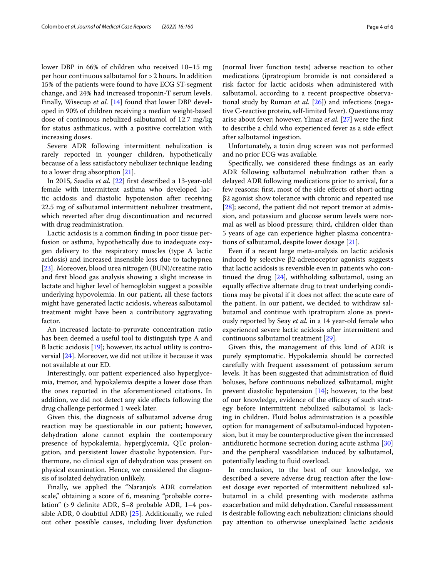lower DBP in 66% of children who received 10–15 mg per hour continuous salbutamol for >2 hours. In addition 15% of the patients were found to have ECG ST-segment change, and 24% had increased troponin-T serum levels. Finally, Wisecup *et al.* [[14\]](#page-4-12) found that lower DBP developed in 90% of children receiving a median weight-based dose of continuous nebulized salbutamol of 12.7 mg/kg for status asthmaticus, with a positive correlation with increasing doses.

Severe ADR following intermittent nebulization is rarely reported in younger children, hypothetically because of a less satisfactory nebulizer technique leading to a lower drug absorption [\[21](#page-4-20)].

In 2015, Saadia *et al.* [[22\]](#page-4-21) frst described a 13-year-old female with intermittent asthma who developed lactic acidosis and diastolic hypotension after receiving 22.5 mg of salbutamol intermittent nebulizer treatment, which reverted after drug discontinuation and recurred with drug readministration.

Lactic acidosis is a common fnding in poor tissue perfusion or asthma, hypothetically due to inadequate oxygen delivery to the respiratory muscles (type A lactic acidosis) and increased insensible loss due to tachypnea [[23\]](#page-4-22). Moreover, blood urea nitrogen (BUN)/creatine ratio and frst blood gas analysis showing a slight increase in lactate and higher level of hemoglobin suggest a possible underlying hypovolemia. In our patient, all these factors might have generated lactic acidosis, whereas salbutamol treatment might have been a contributory aggravating factor.

An increased lactate-to-pyruvate concentration ratio has been deemed a useful tool to distinguish type A and B lactic acidosis [[19\]](#page-4-17); however, its actual utility is controversial [[24](#page-4-23)]. Moreover, we did not utilize it because it was not available at our ED.

Interestingly, our patient experienced also hyperglycemia, tremor, and hypokalemia despite a lower dose than the ones reported in the aforementioned citations. In addition, we did not detect any side efects following the drug challenge performed 1 week later.

Given this, the diagnosis of salbutamol adverse drug reaction may be questionable in our patient; however, dehydration alone cannot explain the contemporary presence of hypokalemia, hyperglycemia, QTc prolongation, and persistent lower diastolic hypotension. Furthermore, no clinical sign of dehydration was present on physical examination. Hence, we considered the diagnosis of isolated dehydration unlikely.

Finally, we applied the "Naranjo's ADR correlation scale," obtaining a score of 6, meaning "probable correlation" (>9 defnite ADR, 5–8 probable ADR, 1–4 possible ADR, 0 doubtful ADR) [[25](#page-5-0)]. Additionally, we ruled out other possible causes, including liver dysfunction

(normal liver function tests) adverse reaction to other medications (ipratropium bromide is not considered a risk factor for lactic acidosis when administered with salbutamol, according to a recent prospective observational study by Ruman *et al.* [[26](#page-5-1)]) and infections (negative C-reactive protein, self-limited fever). Questions may arise about fever; however, Ylmaz *et al.* [[27](#page-5-2)] were the frst to describe a child who experienced fever as a side efect after salbutamol ingestion.

Unfortunately, a toxin drug screen was not performed and no prior ECG was available.

Specifcally, we considered these fndings as an early ADR following salbutamol nebulization rather than a delayed ADR following medications prior to arrival, for a few reasons: frst, most of the side efects of short-acting β2 agonist show tolerance with chronic and repeated use [[28\]](#page-5-3); second, the patient did not report tremor at admission, and potassium and glucose serum levels were normal as well as blood pressure; third, children older than 5 years of age can experience higher plasma concentrations of salbutamol, despite lower dosage [\[21](#page-4-20)].

Even if a recent large meta-analysis on lactic acidosis induced by selective β2-adrenoceptor agonists suggests that lactic acidosis is reversible even in patients who continued the drug [[24\]](#page-4-23), withholding salbutamol, using an equally efective alternate drug to treat underlying conditions may be pivotal if it does not afect the acute care of the patient. In our patient, we decided to withdraw salbutamol and continue with ipratropium alone as previously reported by Seay *et al.* in a 14 year-old female who experienced severe lactic acidosis after intermittent and continuous salbutamol treatment [\[29\]](#page-5-4).

Given this, the management of this kind of ADR is purely symptomatic. Hypokalemia should be corrected carefully with frequent assessment of potassium serum levels. It has been suggested that administration of fuid boluses, before continuous nebulized salbutamol, might prevent diastolic hypotension [[14](#page-4-12)]; however, to the best of our knowledge, evidence of the efficacy of such strategy before intermittent nebulized salbutamol is lacking in children. Fluid bolus administration is a possible option for management of salbutamol-induced hypotension, but it may be counterproductive given the increased antidiuretic hormone secretion during acute asthma [[30](#page-5-5)] and the peripheral vasodilation induced by salbutamol, potentially leading to fluid overload.

In conclusion, to the best of our knowledge, we described a severe adverse drug reaction after the lowest dosage ever reported of intermittent nebulized salbutamol in a child presenting with moderate asthma exacerbation and mild dehydration. Careful reassessment is desirable following each nebulization: clinicians should pay attention to otherwise unexplained lactic acidosis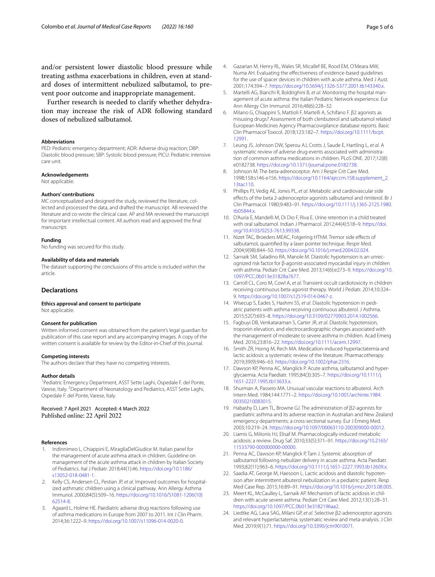and/or persistent lower diastolic blood pressure while treating asthma exacerbations in children, even at standard doses of intermittent nebulized salbutamol, to prevent poor outcome and inappropriate management.

Further research is needed to clarify whether dehydration may increase the risk of ADR following standard doses of nebulized salbutamol.

#### **Abbreviations**

PED: Pediatric emergency department; ADR: Adverse drug reaction; DBP: Diastolic blood pressure; SBP: Systolic blood pressure; PICU: Pediatric intensive care unit.

#### **Acknowledgements**

Not applicable.

#### **Authors' contributions**

MC conceptualized and designed the study, reviewed the literature, collected and processed the data, and drafted the manuscript. AB reviewed the literature and co-wrote the clinical case. AP and MA reviewed the manuscript for important intellectual content. All authors read and approved the fnal manuscript.

#### **Funding**

No funding was secured for this study.

#### **Availability of data and materials**

The dataset supporting the conclusions of this article is included within the article.

## **Declarations**

#### **Ethics approval and consent to participate** Not applicable.

#### **Consent for publication**

Written informed consent was obtained from the patient's legal guardian for publication of this case report and any accompanying images. A copy of the written consent is available for review by the Editor-in-Chief of this journal.

#### **Competing interests**

The authors declare that they have no competing interests.

#### **Author details**

<sup>1</sup> Pediatric Emergency Department, ASST Sette Laghi, Ospedale F. del Ponte, Varese, Italy. <sup>2</sup> Department of Neonatology and Pediatrics, ASST Sette Laghi, Ospedale F. del Ponte, Varese, Italy.

Received: 7 April 2021 Accepted: 4 March 2022 Published online: 22 April 2022

#### **References**

- <span id="page-4-0"></span>1. Indinnimeo L, Chiappini E, MiragliaDelGiudice M. Italian panel for the management of acute asthma attack in children. Guideline on management of the acute asthma attack in children by Italian Society of Pediatrics. Ital J Pediatr. 2018;44(1):46. [https://doi.org/10.1186/](https://doi.org/10.1186/s13052-018-0481-1) [s13052-018-0481-1.](https://doi.org/10.1186/s13052-018-0481-1)
- <span id="page-4-1"></span>2. Kelly CS, Andersen CL, Pestian JP, *et al*. Improved outcomes for hospitalized asthmatic children using a clinical pathway. Ann Allergy Asthma Immunol. 2000;84(5):509–16. [https://doi.org/10.1016/S1081-1206\(10\)](https://doi.org/10.1016/S1081-1206(10)62514-8) [62514-8.](https://doi.org/10.1016/S1081-1206(10)62514-8)
- <span id="page-4-2"></span>3. Agaard L, Holme HE. Paediatric adverse drug reactions following use of asthma medications in Europe from 2007 to 2011. Int J Clin Pharm. 2014;36:1222–9.<https://doi.org/10.1007/s11096-014-0020-0>.
- <span id="page-4-3"></span>4. Gazarian M, Henry RL, Wales SR, Micallef BE, Rood EM, O'Meara MW, Numa AH. Evaluating the efectiveness of evidence-based guidelines for the use of spacer devices in children with acute asthma. Med J Aust. 2001;174:394–7. [https://doi.org/10.5694/j.1326-5377.2001.tb143340.x.](https://doi.org/10.5694/j.1326-5377.2001.tb143340.x)
- <span id="page-4-4"></span>5. Martelli AG, Bianchi R, Boldrighini B, *et al*. Monitoring the hospital management of acute asthma: the Italian Pediatric Network experience. Eur Ann Allergy Clin Immunol. 2016;48(6):228–32.
- <span id="page-4-5"></span>6. Milano G, Chiappini S, Mattioli F, Martelli A, Schifano F. β2 agonists as misusing drugs? Assessment of both clenbuterol and salbutamol related European Medicines Agency Pharmacovigilance database reports. Basic Clin Pharmacol Toxicol. 2018;123:182–7. [https://doi.org/10.1111/bcpt.](https://doi.org/10.1111/bcpt.12991) [12991](https://doi.org/10.1111/bcpt.12991).
- <span id="page-4-6"></span>7. Leung JS, Johnson DW, Sperou AJ, Crotts J, Saude E, Hartling L, *et al*. A systematic review of adverse drug events associated with administration of common asthma medications in children. PLoS ONE. 2017;12(8): e0182738. <https://doi.org/10.1371/journal.pone.0182738>.
- <span id="page-4-7"></span>8. Johnson M. The beta-adrenoceptor. Am J Respir Crit Care Med. 1998;158:s146-e156. [https://doi.org/10.1164/ajrccm.158.supplement\\_2.](https://doi.org/10.1164/ajrccm.158.supplement_2.13tac110) [13tac110](https://doi.org/10.1164/ajrccm.158.supplement_2.13tac110).
- <span id="page-4-8"></span>9. Phillips PJ, Vedig AE, Jones PL, *et al*. Metabolic and cardiovascular side efects of the beta 2-adrenoceptor agonists salbutamol and rimiterol. Br J Clin Pharmacol. 1980;9:483–91. [https://doi.org/10.1111/j.1365-2125.1980.](https://doi.org/10.1111/j.1365-2125.1980.tb05844.x) [tb05844.x](https://doi.org/10.1111/j.1365-2125.1980.tb05844.x).
- <span id="page-4-9"></span>10. D'Auria E, Mandelli M, Di Dio F, Riva E. Urine retention in a child treated with oral salbutamol. Indian J Pharmacol. 2012;44(4):518–9. [https://doi.](https://doi.org/10.4103/0253-7613.99338) [org/10.4103/0253-7613.99338.](https://doi.org/10.4103/0253-7613.99338)
- <span id="page-4-10"></span>11. Nizet TAC, Broeders MEAC, Folgering HThM. Tremor side efects of salbutamol, quantifed by a laser pointer technique. Respir Med. 2004;9(98):844–50. <https://doi.org/10.1016/j.rmed.2004.02.024>.
- <span id="page-4-11"></span>12. Sarnaik SM, Saladino RA, Manole M. Diastolic hypotension is an unrecognized risk factor for β-agonist-associated myocardial injury in children with asthma. Pediatr Crit Care Med. 2013;14(6):e273–9. [https://doi.org/10.](https://doi.org/10.1097/PCC.0b013e31828a7677) [1097/PCC.0b013e31828a7677](https://doi.org/10.1097/PCC.0b013e31828a7677).
- <span id="page-4-19"></span>13. Carroll CL, Coro M, Cowl A, *et al*. Transient occult cardiotoxicity in children receiving continuous beta-agonist therapy. World J Pediatr. 2014;10:324– 9. [https://doi.org/10.1007/s12519-014-0467-z.](https://doi.org/10.1007/s12519-014-0467-z)
- <span id="page-4-12"></span>14. Wisecup S, Eades S, Hashmi SS, *et al*. Diastolic hypotension in pediatric patients with asthma receiving continuous albuterol. J Asthma. 2015;52(7):693–8.<https://doi.org/10.3109/02770903.2014.1002566>.
- <span id="page-4-13"></span>15. Fagbuyi DB, Venkataraman S, Carter JR, *et al*. Diastolic hypotension, troponin elevation, and electrocardiographic changes associated with the management of moderate to severe asthma in children. Acad Emerg Med. 2016;23:816–22. [https://doi.org/10.1111/acem.12997.](https://doi.org/10.1111/acem.12997)
- <span id="page-4-14"></span>16. Smith ZR, Horng M, Rech MA. Medication-induced hyperlactatemia and lactic acidosis: a systematic review of the literature. Pharmacotherapy. 2019;39(9):946–63. <https://doi.org/10.1002/phar.2316>.
- <span id="page-4-15"></span>17. Dawson KP, Penna AC, Manglick P. Acute asthma, salbutamol and hyperglycaemia. Acta Paediatr. 1995;84(3):305–7. [https://doi.org/10.1111/j.](https://doi.org/10.1111/j.1651-2227.1995.tb13633.x) [1651-2227.1995.tb13633.x.](https://doi.org/10.1111/j.1651-2227.1995.tb13633.x)
- <span id="page-4-16"></span>18. Shurman A, Passero MA. Unusual vascular reactions to albuterol. Arch Intern Med. 1984;144:1771–2. [https://doi.org/10.1001/archinte.1984.](https://doi.org/10.1001/archinte.1984.00350210083015) [00350210083015.](https://doi.org/10.1001/archinte.1984.00350210083015)
- <span id="page-4-17"></span>19. Habashy D, Lam TL, Browne GJ. The administration of β2-agonists for paediatric asthma and its adverse reaction in Australian and New Zealand emergency departments: a cross-sectional survey. Eur J Emerg Med. 2003;10:219–24.<https://doi.org/10.1097/00063110-200309000-00012>.
- <span id="page-4-18"></span>20. Liamis G, Milionis HJ, Elisaf M. Pharmacologically-induced metabolic acidosis: a review. Drug Saf. 2010;33(5):371–91. [https://doi.org/10.2165/](https://doi.org/10.2165/11533790-000000000-00000) [11533790-000000000-00000.](https://doi.org/10.2165/11533790-000000000-00000)
- <span id="page-4-20"></span>21. Penna AC, Dawson KP, Manglick P, Tam J. Systemic absorption of salbutamol following nebulizer delivery in acute asthma. Acta Paediatr. 1993;82(11):963–6. [https://doi.org/10.1111/j.1651-2227.1993.tb12609.x.](https://doi.org/10.1111/j.1651-2227.1993.tb12609.x)
- <span id="page-4-21"></span>22. Saadia AT, George M, Haesoon L. Lactic acidosis and diastolic hypotension after intermittent albuterol nebulization in a pediatric patient. Resp Med Case Rep. 2015;16:89–91.<https://doi.org/10.1016/j.rmcr.2015.08.005>.
- <span id="page-4-22"></span>23. Meert KL, McCaulley L, Sarnaik AP. Mechanism of lactic acidosis in children with acute severe asthma. Pediatr Crit Care Med. 2012;13(1):28–31. [https://doi.org/10.1097/PCC.0b013e3182196aa2.](https://doi.org/10.1097/PCC.0b013e3182196aa2)
- <span id="page-4-23"></span>24. Liedtke AG, Lava SAG, Milani GP, *et al*. Selective β2-adrenoceptor agonists and relevant hyperlactatemia: systematic review and meta-analysis. J Clin Med. 2019;9(1):71. [https://doi.org/10.3390/jcm9010071.](https://doi.org/10.3390/jcm9010071)